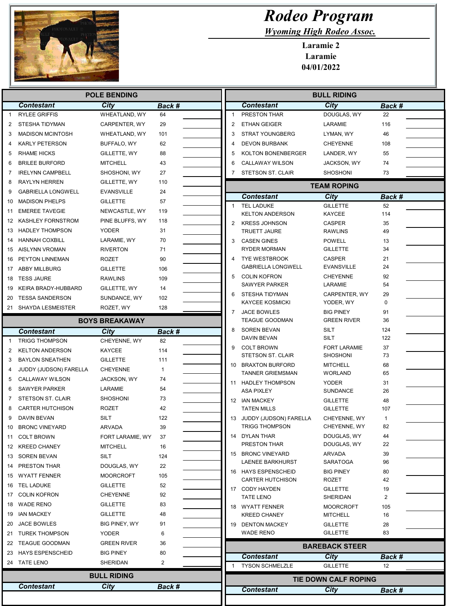

Г  $\overline{a}$ 

I  $\overline{\phantom{a}}$ 

## Rodeo Program

Wyoming High Rodeo Assoc.

Laramie 2 Laramie 04/01/2022

|                                            |                           | <b>POLE BENDING</b>   |              |                | <b>BULL RIDING</b>                           |                           |             |  |
|--------------------------------------------|---------------------------|-----------------------|--------------|----------------|----------------------------------------------|---------------------------|-------------|--|
|                                            | <b>Contestant</b>         | <b>City</b>           | Back #       |                | <b>Contestant</b>                            | <b>City</b>               | Back #      |  |
| $\mathbf{1}$                               | <b>RYLEE GRIFFIS</b>      | WHEATLAND, WY         | 64           | $\mathbf{1}$   | PRESTON THAR                                 | DOUGLAS, WY               | 22          |  |
| 2                                          | <b>STESHA TIDYMAN</b>     | CARPENTER, WY         | 29           | $\overline{2}$ | <b>ETHAN GEIGER</b>                          | LARAMIE                   | 116         |  |
| 3                                          | <b>MADISON MCINTOSH</b>   | WHEATLAND, WY         | 101          | 3              | <b>STRAT YOUNGBERG</b>                       | LYMAN, WY                 | 46          |  |
| 4                                          | <b>KARLY PETERSON</b>     | BUFFALO, WY           | 62           | 4              | <b>DEVON BURBANK</b>                         | <b>CHEYENNE</b>           | 108         |  |
| 5                                          | <b>RHAME HICKS</b>        | GILLETTE, WY          | 88           | 5              | KOLTON BONENBERGER                           | LANDER, WY                | 55          |  |
| 6                                          | <b>BRILEE BURFORD</b>     | <b>MITCHELL</b>       | 43           | 6              | <b>CALLAWAY WILSON</b>                       | JACKSON, WY               | 74          |  |
| 7                                          | <b>IRELYNN CAMPBELL</b>   | SHOSHONI, WY          | 27           | 7              | <b>STETSON ST. CLAIR</b>                     | <b>SHOSHONI</b>           | 73          |  |
| 8                                          | <b>RAYLYN HERREN</b>      | GILLETTE, WY          | 110          |                |                                              | <b>TEAM ROPING</b>        |             |  |
| 9                                          | <b>GABRIELLA LONGWELL</b> | EVANSVILLE            | 24           |                | <b>Contestant</b>                            | City                      | Back #      |  |
| 10                                         | <b>MADISON PHELPS</b>     | <b>GILLETTE</b>       | 57           | $\mathbf{1}$   | <b>TEL LADUKE</b>                            | <b>GILLETTE</b>           | 52          |  |
| 11                                         | <b>EMEREE TAVEGIE</b>     | NEWCASTLE, WY         | 119          |                | <b>KELTON ANDERSON</b>                       | KAYCEE                    | 114         |  |
| 12                                         | KASHLEY FORNSTROM         | PINE BLUFFS, WY       | 118          | $\overline{2}$ | <b>KRESS JOHNSON</b>                         | <b>CASPER</b>             | 35          |  |
| 13                                         | <b>HADLEY THOMPSON</b>    | <b>YODER</b>          | 31           |                | <b>TRUETT JAURE</b>                          | <b>RAWLINS</b>            | 49          |  |
| 14                                         | <b>HANNAH COXBILL</b>     | LARAMIE, WY           | 70           | 3              | <b>CASEN GINES</b>                           | <b>POWELL</b>             | 13          |  |
| 15                                         | AISLYNN VROMAN            | <b>RIVERTON</b>       | 71           |                | <b>RYDER MORMAN</b>                          | <b>GILLETTE</b>           | 34          |  |
| 16                                         | PEYTON LINNEMAN           | <b>ROZET</b>          | 90           | 4              | <b>TYE WESTBROOK</b>                         | <b>CASPER</b>             | 21          |  |
|                                            | 17 ABBY MILLBURG          | <b>GILLETTE</b>       | 106          |                | <b>GABRIELLA LONGWELL</b>                    | <b>EVANSVILLE</b>         | 24          |  |
| 18                                         | <b>TESS JAURE</b>         | <b>RAWLINS</b>        | 109          | 5              | <b>COLIN KOFRON</b>                          | <b>CHEYENNE</b>           | 92          |  |
| 19                                         | KEIRA BRADY-HUBBARD       | GILLETTE, WY          | 14           |                | <b>SAWYER PARKER</b>                         | LARAMIE                   | 54          |  |
|                                            | 20 TESSA SANDERSON        | SUNDANCE, WY          | 102          | 6              | STESHA TIDYMAN                               | CARPENTER, WY             | 29          |  |
|                                            | 21 SHAYDA LESMEISTER      | ROZET, WY             | 128          |                | <b>KAYCEE KOSMICKI</b>                       | YODER, WY                 | $\mathbf 0$ |  |
|                                            |                           |                       |              | 7              | JACE BOWLES                                  | <b>BIG PINEY</b>          | 91          |  |
|                                            |                           | <b>BOYS BREAKAWAY</b> |              |                | <b>TEAGUE GOODMAN</b>                        | <b>GREEN RIVER</b>        | 36          |  |
|                                            | <b>Contestant</b>         | City                  | Back #       | 8              | <b>SOREN BEVAN</b><br>DAVIN BEVAN            | SILT<br><b>SILT</b>       | 124<br>122  |  |
| -1                                         | <b>TRIGG THOMPSON</b>     | CHEYENNE, WY          | 82           | 9              | <b>COLT BROWN</b>                            | <b>FORT LARAMIE</b>       | 37          |  |
| 2                                          | <b>KELTON ANDERSON</b>    | KAYCEE                | 114          |                | STETSON ST. CLAIR                            | <b>SHOSHONI</b>           | 73          |  |
| 3                                          | <b>BAYLON SNEATHEN</b>    | <b>GILLETTE</b>       | 111          | 10             | <b>BRAXTON BURFORD</b>                       | <b>MITCHELL</b>           | 68          |  |
| 4                                          | JUDDY (JUDSON) FARELLA    | <b>CHEYENNE</b>       | $\mathbf{1}$ |                | <b>TANNER GRIEMSMAN</b>                      | <b>WORLAND</b>            | 65          |  |
| 5                                          | <b>CALLAWAY WILSON</b>    | JACKSON, WY           | 74           | 11             | HADLEY THOMPSON                              | <b>YODER</b>              | 31          |  |
| 6                                          | <b>SAWYER PARKER</b>      | LARAMIE               | 54           |                | <b>ASA PIXLEY</b>                            | SUNDANCE                  | 26          |  |
| 7                                          | <b>STETSON ST. CLAIR</b>  | <b>SHOSHONI</b>       | 73           |                | 12 IAN MACKEY                                | <b>GILLETTE</b>           | 48          |  |
| 8                                          | <b>CARTER HUTCHISON</b>   | <b>ROZET</b>          | 42           |                | <b>TATEN MILLS</b>                           | <b>GILLETTE</b>           | 107         |  |
| 9                                          | DAVIN BEVAN               | SILT                  | 122          | 13             | JUDDY (JUDSON) FARELLA                       | CHEYENNE, WY              | $\mathbf 1$ |  |
| 10                                         | <b>BRONC VINEYARD</b>     | ARVADA                | 39           |                | <b>TRIGG THOMPSON</b>                        | CHEYENNE, WY              | 82          |  |
|                                            | 11 COLT BROWN             | FORT LARAMIE, WY      | 37           |                | 14 DYLAN THAR                                | DOUGLAS, WY               | 44          |  |
|                                            | 12 KREED CHANEY           | <b>MITCHELL</b>       | 16           |                | PRESTON THAR                                 | DOUGLAS, WY               | 22          |  |
|                                            | 13 SOREN BEVAN            | <b>SILT</b>           | 124          |                | 15 BRONC VINEYARD<br><b>LAENEE BARKHURST</b> | ARVADA<br><b>SARATOGA</b> | 39<br>96    |  |
|                                            | 14 PRESTON THAR           | DOUGLAS, WY           | 22           |                | 16 HAYS ESPENSCHEID                          | <b>BIG PINEY</b>          | 80          |  |
|                                            | 15 WYATT FENNER           | MOORCROFT             | 105          |                | <b>CARTER HUTCHISON</b>                      | ROZET                     | 42          |  |
|                                            | 16 TEL LADUKE             | <b>GILLETTE</b>       | 52           |                | 17 CODY HAYDEN                               | <b>GILLETTE</b>           | 19          |  |
|                                            | 17 COLIN KOFRON           | <b>CHEYENNE</b>       | 92           |                | <b>TATE LENO</b>                             | SHERIDAN                  | 2           |  |
|                                            | 18 WADE RENO              | <b>GILLETTE</b>       | 83           |                | 18 WYATT FENNER                              | <b>MOORCROFT</b>          | 105         |  |
|                                            | 19 IAN MACKEY             | <b>GILLETTE</b>       | 48           |                | <b>KREED CHANEY</b>                          | <b>MITCHELL</b>           | 16          |  |
|                                            | 20 JACE BOWLES            | BIG PINEY, WY         | 91           |                | 19 DENTON MACKEY                             | <b>GILLETTE</b>           | 28          |  |
|                                            | 21 TUREK THOMPSON         | YODER                 | 6            |                | <b>WADE RENO</b>                             | <b>GILLETTE</b>           | 83          |  |
|                                            | 22 TEAGUE GOODMAN         | GREEN RIVER           | 36           |                | <b>BAREBACK STEER</b>                        |                           |             |  |
|                                            | 23 HAYS ESPENSCHEID       | BIG PINEY             | 80           |                | <b>Contestant</b>                            | City                      | Back #      |  |
|                                            | 24 TATE LENO              | SHERIDAN              | 2            |                | <b>TYSON SCHMELZLE</b>                       | <b>GILLETTE</b>           | 12          |  |
|                                            |                           | <b>BULL RIDING</b>    |              |                |                                              |                           |             |  |
| <b>City</b><br>Back #<br><b>Contestant</b> |                           |                       |              |                | <b>TIE DOWN CALF ROPING</b>                  |                           |             |  |
|                                            |                           |                       |              |                | <b>Contestant</b>                            | City                      | Back #      |  |
|                                            |                           |                       |              |                |                                              |                           |             |  |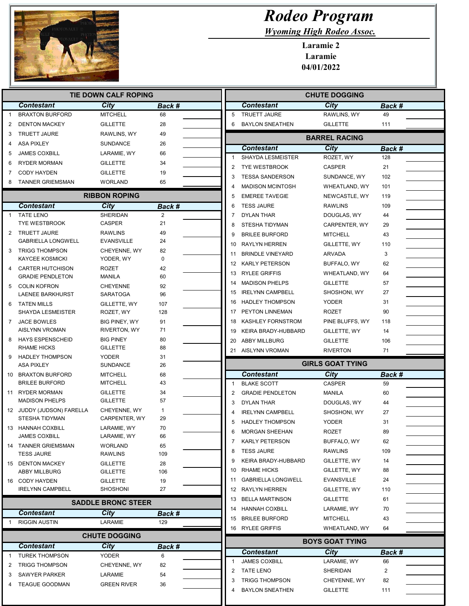

Γ

L

## Rodeo Program

Wyoming High Rodeo Assoc.

Laramie 2 Laramie 04/01/2022

| Back #<br><b>MITCHELL</b><br>68<br>28<br><b>GILLETTE</b><br>RAWLINS, WY<br>49<br><b>SUNDANCE</b><br>26<br>LARAMIE, WY<br>66<br><b>GILLETTE</b><br>34<br><b>GILLETTE</b><br>19<br><b>WORLAND</b><br>65<br><b>RIBBON ROPING</b><br>Back #<br>SHERIDAN<br>$\overline{2}$<br>21<br>49<br><b>RAWLINS</b><br>24<br><b>EVANSVILLE</b><br>82<br>CHEYENNE, WY<br>YODER, WY<br>$\mathbf 0$<br>42<br>60<br>92<br><b>CHEYENNE</b><br><b>SARATOGA</b><br>96<br>GILLETTE, WY<br>107<br>128<br>ROZET, WY<br>91<br>BIG PINEY, WY<br>71<br>RIVERTON, WY | <b>Contestant</b><br>City<br><b>Back #</b><br><b>TRUETT JAURE</b><br>5<br>RAWLINS, WY<br>49<br><b>GILLETTE</b><br>6<br><b>BAYLON SNEATHEN</b><br>111<br><b>BARREL RACING</b><br><b>Contestant</b><br>City<br>Back #<br><b>SHAYDA LESMEISTER</b><br>ROZET, WY<br>128<br>1<br><b>TYE WESTBROOK</b><br>21<br>2<br><b>CASPER</b><br>3<br><b>TESSA SANDERSON</b><br>102<br>SUNDANCE, WY<br><b>MADISON MCINTOSH</b><br>WHEATLAND, WY<br>101<br>4<br>5<br><b>EMEREE TAVEGIE</b><br>NEWCASTLE, WY<br>119<br><b>TESS JAURE</b><br>6<br><b>RAWLINS</b><br>109<br>DYLAN THAR<br>44<br>7<br>DOUGLAS, WY<br>8<br>STESHA TIDYMAN<br>CARPENTER, WY<br>29<br><b>BRILEE BURFORD</b><br><b>MITCHELL</b><br>43<br>9<br><b>RAYLYN HERREN</b><br>GILLETTE, WY<br>110<br>10<br>3<br><b>BRINDLE VINEYARD</b><br><b>ARVADA</b><br>11<br>12 KARLY PETERSON<br>BUFFALO, WY<br>62<br><b>RYLEE GRIFFIS</b><br>WHEATLAND, WY<br>64<br>13<br><b>MADISON PHELPS</b><br><b>GILLETTE</b><br>57<br>14<br>15 IRELYNN CAMPBELL<br>SHOSHONI, WY<br>27<br><b>HADLEY THOMPSON</b><br><b>YODER</b><br>31<br>16<br>PEYTON LINNEMAN<br><b>ROZET</b><br>90<br>17 |
|----------------------------------------------------------------------------------------------------------------------------------------------------------------------------------------------------------------------------------------------------------------------------------------------------------------------------------------------------------------------------------------------------------------------------------------------------------------------------------------------------------------------------------------|-----------------------------------------------------------------------------------------------------------------------------------------------------------------------------------------------------------------------------------------------------------------------------------------------------------------------------------------------------------------------------------------------------------------------------------------------------------------------------------------------------------------------------------------------------------------------------------------------------------------------------------------------------------------------------------------------------------------------------------------------------------------------------------------------------------------------------------------------------------------------------------------------------------------------------------------------------------------------------------------------------------------------------------------------------------------------------------------------------------------------|
|                                                                                                                                                                                                                                                                                                                                                                                                                                                                                                                                        |                                                                                                                                                                                                                                                                                                                                                                                                                                                                                                                                                                                                                                                                                                                                                                                                                                                                                                                                                                                                                                                                                                                       |
|                                                                                                                                                                                                                                                                                                                                                                                                                                                                                                                                        |                                                                                                                                                                                                                                                                                                                                                                                                                                                                                                                                                                                                                                                                                                                                                                                                                                                                                                                                                                                                                                                                                                                       |
|                                                                                                                                                                                                                                                                                                                                                                                                                                                                                                                                        |                                                                                                                                                                                                                                                                                                                                                                                                                                                                                                                                                                                                                                                                                                                                                                                                                                                                                                                                                                                                                                                                                                                       |
|                                                                                                                                                                                                                                                                                                                                                                                                                                                                                                                                        |                                                                                                                                                                                                                                                                                                                                                                                                                                                                                                                                                                                                                                                                                                                                                                                                                                                                                                                                                                                                                                                                                                                       |
|                                                                                                                                                                                                                                                                                                                                                                                                                                                                                                                                        |                                                                                                                                                                                                                                                                                                                                                                                                                                                                                                                                                                                                                                                                                                                                                                                                                                                                                                                                                                                                                                                                                                                       |
|                                                                                                                                                                                                                                                                                                                                                                                                                                                                                                                                        |                                                                                                                                                                                                                                                                                                                                                                                                                                                                                                                                                                                                                                                                                                                                                                                                                                                                                                                                                                                                                                                                                                                       |
|                                                                                                                                                                                                                                                                                                                                                                                                                                                                                                                                        |                                                                                                                                                                                                                                                                                                                                                                                                                                                                                                                                                                                                                                                                                                                                                                                                                                                                                                                                                                                                                                                                                                                       |
|                                                                                                                                                                                                                                                                                                                                                                                                                                                                                                                                        |                                                                                                                                                                                                                                                                                                                                                                                                                                                                                                                                                                                                                                                                                                                                                                                                                                                                                                                                                                                                                                                                                                                       |
|                                                                                                                                                                                                                                                                                                                                                                                                                                                                                                                                        |                                                                                                                                                                                                                                                                                                                                                                                                                                                                                                                                                                                                                                                                                                                                                                                                                                                                                                                                                                                                                                                                                                                       |
|                                                                                                                                                                                                                                                                                                                                                                                                                                                                                                                                        |                                                                                                                                                                                                                                                                                                                                                                                                                                                                                                                                                                                                                                                                                                                                                                                                                                                                                                                                                                                                                                                                                                                       |
|                                                                                                                                                                                                                                                                                                                                                                                                                                                                                                                                        |                                                                                                                                                                                                                                                                                                                                                                                                                                                                                                                                                                                                                                                                                                                                                                                                                                                                                                                                                                                                                                                                                                                       |
|                                                                                                                                                                                                                                                                                                                                                                                                                                                                                                                                        |                                                                                                                                                                                                                                                                                                                                                                                                                                                                                                                                                                                                                                                                                                                                                                                                                                                                                                                                                                                                                                                                                                                       |
|                                                                                                                                                                                                                                                                                                                                                                                                                                                                                                                                        |                                                                                                                                                                                                                                                                                                                                                                                                                                                                                                                                                                                                                                                                                                                                                                                                                                                                                                                                                                                                                                                                                                                       |
|                                                                                                                                                                                                                                                                                                                                                                                                                                                                                                                                        |                                                                                                                                                                                                                                                                                                                                                                                                                                                                                                                                                                                                                                                                                                                                                                                                                                                                                                                                                                                                                                                                                                                       |
|                                                                                                                                                                                                                                                                                                                                                                                                                                                                                                                                        |                                                                                                                                                                                                                                                                                                                                                                                                                                                                                                                                                                                                                                                                                                                                                                                                                                                                                                                                                                                                                                                                                                                       |
|                                                                                                                                                                                                                                                                                                                                                                                                                                                                                                                                        |                                                                                                                                                                                                                                                                                                                                                                                                                                                                                                                                                                                                                                                                                                                                                                                                                                                                                                                                                                                                                                                                                                                       |
|                                                                                                                                                                                                                                                                                                                                                                                                                                                                                                                                        |                                                                                                                                                                                                                                                                                                                                                                                                                                                                                                                                                                                                                                                                                                                                                                                                                                                                                                                                                                                                                                                                                                                       |
|                                                                                                                                                                                                                                                                                                                                                                                                                                                                                                                                        |                                                                                                                                                                                                                                                                                                                                                                                                                                                                                                                                                                                                                                                                                                                                                                                                                                                                                                                                                                                                                                                                                                                       |
|                                                                                                                                                                                                                                                                                                                                                                                                                                                                                                                                        |                                                                                                                                                                                                                                                                                                                                                                                                                                                                                                                                                                                                                                                                                                                                                                                                                                                                                                                                                                                                                                                                                                                       |
|                                                                                                                                                                                                                                                                                                                                                                                                                                                                                                                                        |                                                                                                                                                                                                                                                                                                                                                                                                                                                                                                                                                                                                                                                                                                                                                                                                                                                                                                                                                                                                                                                                                                                       |
|                                                                                                                                                                                                                                                                                                                                                                                                                                                                                                                                        |                                                                                                                                                                                                                                                                                                                                                                                                                                                                                                                                                                                                                                                                                                                                                                                                                                                                                                                                                                                                                                                                                                                       |
|                                                                                                                                                                                                                                                                                                                                                                                                                                                                                                                                        |                                                                                                                                                                                                                                                                                                                                                                                                                                                                                                                                                                                                                                                                                                                                                                                                                                                                                                                                                                                                                                                                                                                       |
|                                                                                                                                                                                                                                                                                                                                                                                                                                                                                                                                        | <b>KASHLEY FORNSTROM</b><br>PINE BLUFFS, WY<br>118<br>18                                                                                                                                                                                                                                                                                                                                                                                                                                                                                                                                                                                                                                                                                                                                                                                                                                                                                                                                                                                                                                                              |
|                                                                                                                                                                                                                                                                                                                                                                                                                                                                                                                                        | KEIRA BRADY-HUBBARD<br>GILLETTE, WY<br>14<br>19                                                                                                                                                                                                                                                                                                                                                                                                                                                                                                                                                                                                                                                                                                                                                                                                                                                                                                                                                                                                                                                                       |
| <b>BIG PINEY</b><br>80                                                                                                                                                                                                                                                                                                                                                                                                                                                                                                                 | <b>ABBY MILLBURG</b><br>20<br><b>GILLETTE</b><br>106                                                                                                                                                                                                                                                                                                                                                                                                                                                                                                                                                                                                                                                                                                                                                                                                                                                                                                                                                                                                                                                                  |
| 88<br><b>GILLETTE</b>                                                                                                                                                                                                                                                                                                                                                                                                                                                                                                                  | 21 AISLYNN VROMAN<br><b>RIVERTON</b><br>71                                                                                                                                                                                                                                                                                                                                                                                                                                                                                                                                                                                                                                                                                                                                                                                                                                                                                                                                                                                                                                                                            |
| 31<br><b>SUNDANCE</b><br>26                                                                                                                                                                                                                                                                                                                                                                                                                                                                                                            | <b>GIRLS GOAT TYING</b>                                                                                                                                                                                                                                                                                                                                                                                                                                                                                                                                                                                                                                                                                                                                                                                                                                                                                                                                                                                                                                                                                               |
| <b>MITCHELL</b><br>68                                                                                                                                                                                                                                                                                                                                                                                                                                                                                                                  | <b>City</b><br><b>Contestant</b><br>Back #                                                                                                                                                                                                                                                                                                                                                                                                                                                                                                                                                                                                                                                                                                                                                                                                                                                                                                                                                                                                                                                                            |
| <b>MITCHELL</b><br>43                                                                                                                                                                                                                                                                                                                                                                                                                                                                                                                  | <b>BLAKE SCOTT</b><br><b>CASPER</b><br>59<br>$\mathbf{1}$                                                                                                                                                                                                                                                                                                                                                                                                                                                                                                                                                                                                                                                                                                                                                                                                                                                                                                                                                                                                                                                             |
| <b>GILLETTE</b><br>34                                                                                                                                                                                                                                                                                                                                                                                                                                                                                                                  | 2<br><b>GRADIE PENDLETON</b><br>MANILA<br>60                                                                                                                                                                                                                                                                                                                                                                                                                                                                                                                                                                                                                                                                                                                                                                                                                                                                                                                                                                                                                                                                          |
| <b>GILLETTE</b><br>57                                                                                                                                                                                                                                                                                                                                                                                                                                                                                                                  | 3<br><b>DYLAN THAR</b><br>DOUGLAS, WY<br>44                                                                                                                                                                                                                                                                                                                                                                                                                                                                                                                                                                                                                                                                                                                                                                                                                                                                                                                                                                                                                                                                           |
|                                                                                                                                                                                                                                                                                                                                                                                                                                                                                                                                        | <b>IRELYNN CAMPBELL</b><br>27<br>4<br>SHOSHONI, WY                                                                                                                                                                                                                                                                                                                                                                                                                                                                                                                                                                                                                                                                                                                                                                                                                                                                                                                                                                                                                                                                    |
|                                                                                                                                                                                                                                                                                                                                                                                                                                                                                                                                        | 31<br>5<br><b>HADLEY THOMPSON</b><br><b>YODER</b>                                                                                                                                                                                                                                                                                                                                                                                                                                                                                                                                                                                                                                                                                                                                                                                                                                                                                                                                                                                                                                                                     |
| LARAMIE, WY<br>66                                                                                                                                                                                                                                                                                                                                                                                                                                                                                                                      | 89<br>6<br><b>MORGAN SHEEHAN</b><br><b>ROZET</b>                                                                                                                                                                                                                                                                                                                                                                                                                                                                                                                                                                                                                                                                                                                                                                                                                                                                                                                                                                                                                                                                      |
| <b>WORLAND</b><br>65                                                                                                                                                                                                                                                                                                                                                                                                                                                                                                                   | <b>KARLY PETERSON</b><br>BUFFALO, WY<br>62<br>7                                                                                                                                                                                                                                                                                                                                                                                                                                                                                                                                                                                                                                                                                                                                                                                                                                                                                                                                                                                                                                                                       |
| RAWLINS<br>109                                                                                                                                                                                                                                                                                                                                                                                                                                                                                                                         | <b>TESS JAURE</b><br>109<br>8<br><b>RAWLINS</b>                                                                                                                                                                                                                                                                                                                                                                                                                                                                                                                                                                                                                                                                                                                                                                                                                                                                                                                                                                                                                                                                       |
| 28<br><b>GILLETTE</b>                                                                                                                                                                                                                                                                                                                                                                                                                                                                                                                  | KEIRA BRADY-HUBBARD<br>14<br>9<br>GILLETTE, WY                                                                                                                                                                                                                                                                                                                                                                                                                                                                                                                                                                                                                                                                                                                                                                                                                                                                                                                                                                                                                                                                        |
| 106<br><b>GILLETTE</b>                                                                                                                                                                                                                                                                                                                                                                                                                                                                                                                 | RHAME HICKS<br>GILLETTE, WY<br>88<br>10                                                                                                                                                                                                                                                                                                                                                                                                                                                                                                                                                                                                                                                                                                                                                                                                                                                                                                                                                                                                                                                                               |
| 19<br><b>GILLETTE</b>                                                                                                                                                                                                                                                                                                                                                                                                                                                                                                                  | <b>GABRIELLA LONGWELL</b><br><b>EVANSVILLE</b><br>24<br>11                                                                                                                                                                                                                                                                                                                                                                                                                                                                                                                                                                                                                                                                                                                                                                                                                                                                                                                                                                                                                                                            |
|                                                                                                                                                                                                                                                                                                                                                                                                                                                                                                                                        | 12 RAYLYN HERREN<br>GILLETTE, WY<br>110                                                                                                                                                                                                                                                                                                                                                                                                                                                                                                                                                                                                                                                                                                                                                                                                                                                                                                                                                                                                                                                                               |
| <b>SADDLE BRONC STEER</b>                                                                                                                                                                                                                                                                                                                                                                                                                                                                                                              | 13 BELLA MARTINSON<br><b>GILLETTE</b><br>61                                                                                                                                                                                                                                                                                                                                                                                                                                                                                                                                                                                                                                                                                                                                                                                                                                                                                                                                                                                                                                                                           |
| Back #                                                                                                                                                                                                                                                                                                                                                                                                                                                                                                                                 | 14 HANNAH COXBILL<br>LARAMIE, WY<br>70                                                                                                                                                                                                                                                                                                                                                                                                                                                                                                                                                                                                                                                                                                                                                                                                                                                                                                                                                                                                                                                                                |
| 129                                                                                                                                                                                                                                                                                                                                                                                                                                                                                                                                    | 15 BRILEE BURFORD<br><b>MITCHELL</b><br>43                                                                                                                                                                                                                                                                                                                                                                                                                                                                                                                                                                                                                                                                                                                                                                                                                                                                                                                                                                                                                                                                            |
| <b>CHUTE DOGGING</b>                                                                                                                                                                                                                                                                                                                                                                                                                                                                                                                   | 16 RYLEE GRIFFIS<br>WHEATLAND, WY<br>64                                                                                                                                                                                                                                                                                                                                                                                                                                                                                                                                                                                                                                                                                                                                                                                                                                                                                                                                                                                                                                                                               |
| Back #                                                                                                                                                                                                                                                                                                                                                                                                                                                                                                                                 | <b>BOYS GOAT TYING</b>                                                                                                                                                                                                                                                                                                                                                                                                                                                                                                                                                                                                                                                                                                                                                                                                                                                                                                                                                                                                                                                                                                |
| 6                                                                                                                                                                                                                                                                                                                                                                                                                                                                                                                                      | <b>Contestant</b><br>City<br>Back #                                                                                                                                                                                                                                                                                                                                                                                                                                                                                                                                                                                                                                                                                                                                                                                                                                                                                                                                                                                                                                                                                   |
|                                                                                                                                                                                                                                                                                                                                                                                                                                                                                                                                        |                                                                                                                                                                                                                                                                                                                                                                                                                                                                                                                                                                                                                                                                                                                                                                                                                                                                                                                                                                                                                                                                                                                       |
| CHEYENNE, WY<br>82                                                                                                                                                                                                                                                                                                                                                                                                                                                                                                                     | <b>JAMES COXBILL</b><br>LARAMIE, WY<br>66<br>1                                                                                                                                                                                                                                                                                                                                                                                                                                                                                                                                                                                                                                                                                                                                                                                                                                                                                                                                                                                                                                                                        |
| 54                                                                                                                                                                                                                                                                                                                                                                                                                                                                                                                                     | 2<br><b>TATE LENO</b><br>SHERIDAN<br>$\overline{2}$<br><b>TRIGG THOMPSON</b><br>3<br>CHEYENNE, WY<br>82                                                                                                                                                                                                                                                                                                                                                                                                                                                                                                                                                                                                                                                                                                                                                                                                                                                                                                                                                                                                               |
|                                                                                                                                                                                                                                                                                                                                                                                                                                                                                                                                        | CHEYENNE, WY<br>$\mathbf{1}$<br>CARPENTER, WY<br>29<br>70<br>LARAMIE, WY<br><b>SHOSHONI</b><br>27                                                                                                                                                                                                                                                                                                                                                                                                                                                                                                                                                                                                                                                                                                                                                                                                                                                                                                                                                                                                                     |